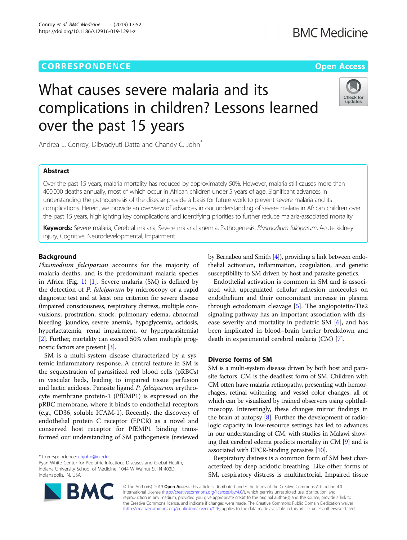# **CORRESPONDENCE CORRESPONDENCE** *CORRESPONDENCE*

# What causes severe malaria and its complications in children? Lessons learned over the past 15 years



Andrea L. Conroy, Dibyadyuti Datta and Chandy C. John<sup>\*</sup>

## Abstract

Over the past 15 years, malaria mortality has reduced by approximately 50%. However, malaria still causes more than 400,000 deaths annually, most of which occur in African children under 5 years of age. Significant advances in understanding the pathogenesis of the disease provide a basis for future work to prevent severe malaria and its complications. Herein, we provide an overview of advances in our understanding of severe malaria in African children over the past 15 years, highlighting key complications and identifying priorities to further reduce malaria-associated mortality.

Keywords: Severe malaria, Cerebral malaria, Severe malarial anemia, Pathogenesis, Plasmodium falciparum, Acute kidney injury, Cognitive, Neurodevelopmental, Impairment

#### Background

Plasmodium falciparum accounts for the majority of malaria deaths, and is the predominant malaria species in Africa (Fig. [1\)](#page-1-0) [\[1\]](#page-2-0). Severe malaria (SM) is defined by the detection of P. falciparum by microscopy or a rapid diagnostic test and at least one criterion for severe disease (impaired consciousness, respiratory distress, multiple convulsions, prostration, shock, pulmonary edema, abnormal bleeding, jaundice, severe anemia, hypoglycemia, acidosis, hyperlactatemia, renal impairment, or hyperparasitemia) [[2](#page-2-0)]. Further, mortality can exceed 50% when multiple prognostic factors are present [\[3\]](#page-2-0).

SM is a multi-system disease characterized by a systemic inflammatory response. A central feature in SM is the sequestration of parasitized red blood cells (pRBCs) in vascular beds, leading to impaired tissue perfusion and lactic acidosis. Parasite ligand P. falciparum erythrocyte membrane protein-1 (PfEMP1) is expressed on the pRBC membrane, where it binds to endothelial receptors (e.g., CD36, soluble ICAM-1). Recently, the discovery of endothelial protein C receptor (EPCR) as a novel and conserved host receptor for PfEMP1 binding transformed our understanding of SM pathogenesis (reviewed

**BMC** 



Endothelial activation is common in SM and is associated with upregulated cellular adhesion molecules on endothelium and their concomitant increase in plasma through ectodomain cleavage [[5\]](#page-2-0). The angiopoietin-Tie2 signaling pathway has an important association with disease severity and mortality in pediatric SM [\[6](#page-2-0)], and has been implicated in blood–brain barrier breakdown and death in experimental cerebral malaria (CM) [\[7\]](#page-2-0).

### Diverse forms of SM

SM is a multi-system disease driven by both host and parasite factors. CM is the deadliest form of SM. Children with CM often have malaria retinopathy, presenting with hemorrhages, retinal whitening, and vessel color changes, all of which can be visualized by trained observers using ophthalmoscopy. Interestingly, these changes mirror findings in the brain at autopsy  $[8]$  $[8]$ . Further, the development of radiologic capacity in low-resource settings has led to advances in our understanding of CM, with studies in Malawi showing that cerebral edema predicts mortality in CM [\[9](#page-3-0)] and is associated with EPCR-binding parasites [[10\]](#page-3-0).

Respiratory distress is a common form of SM best characterized by deep acidotic breathing. Like other forms of SM, respiratory distress is multifactorial. Impaired tissue

© The Author(s). 2019 Open Access This article is distributed under the terms of the Creative Commons Attribution 4.0 International License [\(http://creativecommons.org/licenses/by/4.0/](http://creativecommons.org/licenses/by/4.0/)), which permits unrestricted use, distribution, and reproduction in any medium, provided you give appropriate credit to the original author(s) and the source, provide a link to the Creative Commons license, and indicate if changes were made. The Creative Commons Public Domain Dedication waiver [\(http://creativecommons.org/publicdomain/zero/1.0/](http://creativecommons.org/publicdomain/zero/1.0/)) applies to the data made available in this article, unless otherwise stated.

<sup>\*</sup> Correspondence: [chjohn@iu.edu](mailto:chjohn@iu.edu)

Ryan White Center for Pediatric Infectious Diseases and Global Health, Indiana University School of Medicine, 1044 W Walnut St R4 402D, Indianapolis, IN, USA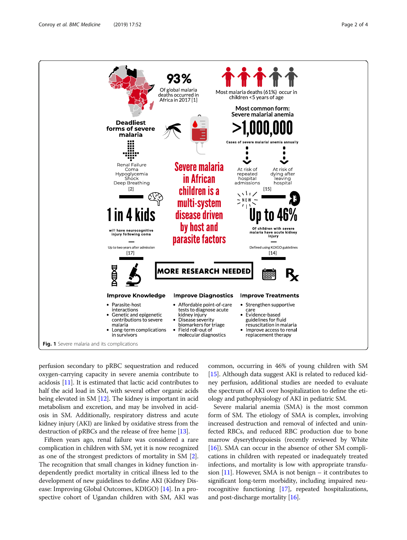<span id="page-1-0"></span>

perfusion secondary to pRBC sequestration and reduced oxygen-carrying capacity in severe anemia contribute to acidosis [\[11\]](#page-3-0). It is estimated that lactic acid contributes to half the acid load in SM, with several other organic acids being elevated in SM [[12](#page-3-0)]. The kidney is important in acid metabolism and excretion, and may be involved in acidosis in SM. Additionally, respiratory distress and acute kidney injury (AKI) are linked by oxidative stress from the destruction of pRBCs and the release of free heme [\[13\]](#page-3-0).

Fifteen years ago, renal failure was considered a rare complication in children with SM, yet it is now recognized as one of the strongest predictors of mortality in SM [[2](#page-2-0)]. The recognition that small changes in kidney function independently predict mortality in critical illness led to the development of new guidelines to define AKI (Kidney Disease: Improving Global Outcomes, KDIGO) [[14\]](#page-3-0). In a prospective cohort of Ugandan children with SM, AKI was common, occurring in 46% of young children with SM [[15](#page-3-0)]. Although data suggest AKI is related to reduced kidney perfusion, additional studies are needed to evaluate the spectrum of AKI over hospitalization to define the etiology and pathophysiology of AKI in pediatric SM.

Severe malarial anemia (SMA) is the most common form of SM. The etiology of SMA is complex, involving increased destruction and removal of infected and uninfected RBCs, and reduced RBC production due to bone marrow dyserythropoiesis (recently reviewed by White [[16](#page-3-0)]). SMA can occur in the absence of other SM complications in children with repeated or inadequately treated infections, and mortality is low with appropriate transfusion  $[11]$ . However, SMA is not benign – it contributes to significant long-term morbidity, including impaired neurocognitive functioning [[17](#page-3-0)], repeated hospitalizations, and post-discharge mortality [[16](#page-3-0)].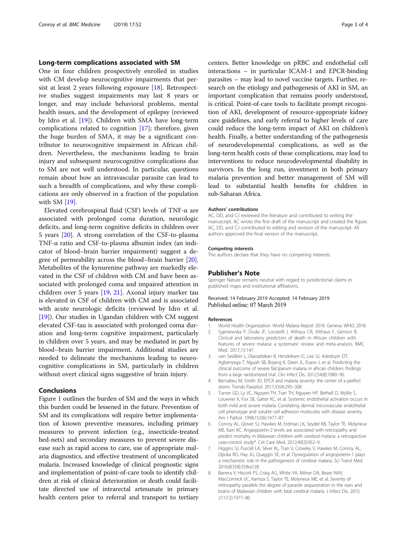#### <span id="page-2-0"></span>Long-term complications associated with SM

One in four children prospectively enrolled in studies with CM develop neurocognitive impairments that persist at least 2 years following exposure [[18\]](#page-3-0). Retrospective studies suggest impairments may last 8 years or longer, and may include behavioral problems, mental health issues, and the development of epilepsy (reviewed by Idro et al. [[19\]](#page-3-0)). Children with SMA have long-term complications related to cognition [[17\]](#page-3-0); therefore, given the huge burden of SMA, it may be a significant contributor to neurocognitive impairment in African children. Nevertheless, the mechanisms leading to brain injury and subsequent neurocognitive complications due to SM are not well understood. In particular, questions remain about how an intravascular parasite can lead to such a breadth of complications, and why these complications are only observed in a fraction of the population with SM [[19\]](#page-3-0).

Elevated cerebrospinal fluid (CSF) levels of TNF-α are associated with prolonged coma duration, neurologic deficits, and long-term cognitive deficits in children over 5 years [\[20\]](#page-3-0). A strong correlation of the CSF-to-plasma TNF-α ratio and CSF-to-plasma albumin index (an indicator of blood–brain barrier impairment) suggest a degree of permeability across the blood–brain barrier [\[20](#page-3-0)]. Metabolites of the kynurenine pathway are markedly elevated in the CSF of children with CM and have been associated with prolonged coma and impaired attention in children over 5 years [[19](#page-3-0), [21\]](#page-3-0). Axonal injury marker tau is elevated in CSF of children with CM and is associated with acute neurologic deficits (reviewed by Idro et al. [[19\]](#page-3-0)). Our studies in Ugandan children with CM suggest elevated CSF-tau is associated with prolonged coma duration and long-term cognitive impairment, particularly in children over 5 years, and may be mediated in part by blood–brain barrier impairment. Additional studies are needed to delineate the mechanisms leading to neurocognitive complications in SM, particularly in children without overt clinical signs suggestive of brain injury.

#### **Conclusions**

Figure [1](#page-1-0) outlines the burden of SM and the ways in which this burden could be lessened in the future. Prevention of SM and its complications will require better implementation of known preventive measures, including primary measures to prevent infection (e.g., insecticide-treated bed-nets) and secondary measures to prevent severe disease such as rapid access to care, use of appropriate malaria diagnostics, and effective treatment of uncomplicated malaria. Increased knowledge of clinical prognostic signs and implementation of point-of-care tools to identify children at risk of clinical deterioration or death could facilitate directed use of intrarectal artesunate in primary health centers prior to referral and transport to tertiary

centers. Better knowledge on pRBC and endothelial cell interactions – in particular ICAM-1 and EPCR-binding parasites – may lead to novel vaccine targets. Further, research on the etiology and pathogenesis of AKI in SM, an important complication that remains poorly understood, is critical. Point-of-care tools to facilitate prompt recognition of AKI, development of resource-appropriate kidney care guidelines, and early referral to higher levels of care could reduce the long-term impact of AKI on children's health. Finally, a better understanding of the pathogenesis of neurodevelopmental complications, as well as the long-term health costs of these complications, may lead to interventions to reduce neurodevelopmental disability in survivors. In the long run, investment in both primary malaria prevention and better management of SM will lead to substantial health benefits for children in sub-Saharan Africa.

#### Authors' contributions

AC, DD, and CJ reviewed the literature and contributed to writing the manuscript. AC wrote the first draft of the manuscript and created the figure. AC, DD, and CJ contributed to editing and revision of the manuscript. All authors approved the final version of the manuscript.

#### Competing interests

The authors declare that they have no competing interests.

#### Publisher's Note

Springer Nature remains neutral with regard to jurisdictional claims in published maps and institutional affiliations.

#### Received: 14 February 2019 Accepted: 14 February 2019 Published online: 07 March 2019

#### References

- 1. World Health Organization. World Malaria Report 2018. Geneva: WHO; 2018.
- 2. Sypniewska P, Duda JF, Locatelli I, Althaus CR, Althaus F, Genton B. Clinical and laboratory predictors of death in African children with features of severe malaria: a systematic review and meta-analysis. BMC Med. 2017;15:147.
- 3. von Seidlein L, Olaosebikan R, Hendriksen IC, Lee SJ, Adedoyin OT, Agbenyega T, Nguah SB, Bojang K, Deen JL, Evans J, et al. Predicting the clinical outcome of severe falciparum malaria in african children: findings from a large randomized trial. Clin Infect Dis. 2012;54(8):1080–90.
- 4. Bernabeu M, Smith JD. EPCR and malaria severity: the center of a perfect storm. Trends Parasitol. 2017;33(4):295–308.
- 5. Turner GD, Ly VC, Nguyen TH, Tran TH, Nguyen HP, Bethell D, Wyllie S, Louwrier K, Fox SB, Gatter KC, et al. Systemic endothelial activation occurs in both mild and severe malaria. Correlating dermal microvascular endothelial cell phenotype and soluble cell adhesion molecules with disease severity. Am J Pathol. 1998;152(6):1477–87.
- 6. Conroy AL, Glover SJ, Hawkes M, Erdman LK, Seydel KB, Taylor TE, Molyneux ME, Kain KC. Angiopoietin-2 levels are associated with retinopathy and predict mortality in Malawian children with cerebral malaria: a retrospective case-control study\*. Crit Care Med. 2012;40(3):952–9.
- 7. Higgins SJ, Purcell LA, Silver KL, Tran V, Crowley V, Hawkes M, Conroy AL, Opoka RO, Hay JG, Quaggin SE, et al. Dysregulation of angiopoietin-1 plays a mechanistic role in the pathogenesis of cerebral malaria. Sci Transl Med. 2016;8(358):358ra128.
- 8. Barrera V, Hiscott PS, Craig AG, White VA, Milner DA, Beare NAV, MacCormick IJC, Kamiza S, Taylor TE, Molyneux ME, et al. Severity of retinopathy parallels the degree of parasite sequestration in the eyes and brains of Malawian children with fatal cerebral malaria. J Infect Dis. 2015; 211(12):1977–86.